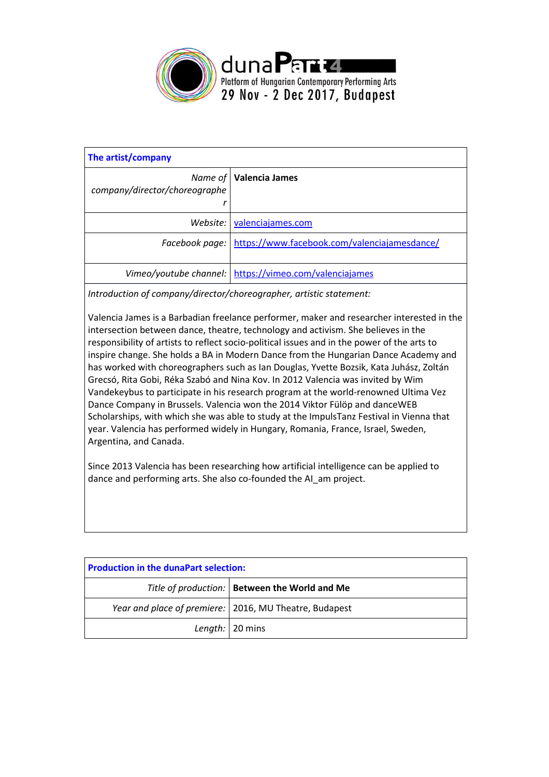

| The artist/company            |                                                             |
|-------------------------------|-------------------------------------------------------------|
| company/director/choreographe | <i>Name of   Valencia James</i>                             |
|                               | Website: valenciajames.com                                  |
|                               | Facebook page: https://www.facebook.com/valenciajamesdance/ |
|                               | Vimeo/youtube channel: \ https://vimeo.com/valenciajames    |

*Introduction of company/director/choreographer, artistic statement:*

Valencia James is a Barbadian freelance performer, maker and researcher interested in the intersection between dance, theatre, technology and activism. She believes in the responsibility of artists to reflect socio-political issues and in the power of the arts to inspire change. She holds a BA in Modern Dance from the Hungarian Dance Academy and has worked with choreographers such as Ian Douglas, Yvette Bozsik, Kata Juhász, Zoltán Grecsó, Rita Gobi, Réka Szabó and Nina Kov. In 2012 Valencia was invited by Wim Vandekeybus to participate in his research program at the world-renowned Ultima Vez Dance Company in Brussels. Valencia won the 2014 Viktor Fülöp and danceWEB Scholarships, with which she was able to study at the ImpulsTanz Festival in Vienna that year. Valencia has performed widely in Hungary, Romania, France, Israel, Sweden, Argentina, and Canada.

Since 2013 Valencia has been researching how artificial intelligence can be applied to dance and performing arts. She also co-founded the AI\_am [project.](https://valenciajames.com/projects/ai_am/)

| <b>Production in the dunaPart selection:</b> |                                                          |  |  |
|----------------------------------------------|----------------------------------------------------------|--|--|
|                                              | Title of production:   Between the World and Me          |  |  |
|                                              | Year and place of premiere:   2016, MU Theatre, Budapest |  |  |
|                                              | Length:   20 mins                                        |  |  |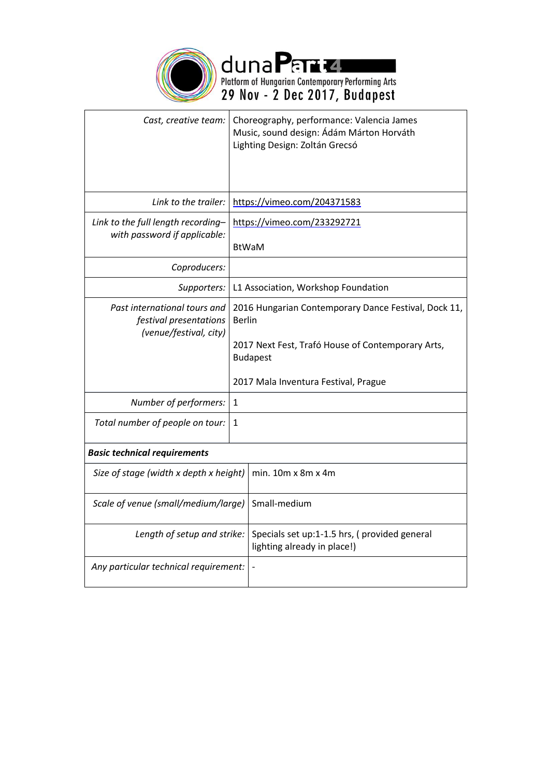

| Cast, creative team:                                                             |                                                                                                                                                                                       | Choreography, performance: Valencia James<br>Music, sound design: Ádám Márton Horváth<br>Lighting Design: Zoltán Grecsó |  |  |
|----------------------------------------------------------------------------------|---------------------------------------------------------------------------------------------------------------------------------------------------------------------------------------|-------------------------------------------------------------------------------------------------------------------------|--|--|
| Link to the trailer:                                                             |                                                                                                                                                                                       | https://vimeo.com/204371583                                                                                             |  |  |
| Link to the full length recording-<br>with password if applicable:               | https://vimeo.com/233292721<br><b>BtWaM</b>                                                                                                                                           |                                                                                                                         |  |  |
| Coproducers:                                                                     |                                                                                                                                                                                       |                                                                                                                         |  |  |
| Supporters:                                                                      | L1 Association, Workshop Foundation                                                                                                                                                   |                                                                                                                         |  |  |
| Past international tours and<br>festival presentations<br>(venue/festival, city) | 2016 Hungarian Contemporary Dance Festival, Dock 11,<br><b>Berlin</b><br>2017 Next Fest, Trafó House of Contemporary Arts,<br><b>Budapest</b><br>2017 Mala Inventura Festival, Prague |                                                                                                                         |  |  |
| Number of performers:                                                            | 1                                                                                                                                                                                     |                                                                                                                         |  |  |
| Total number of people on tour:                                                  | 1                                                                                                                                                                                     |                                                                                                                         |  |  |
| <b>Basic technical requirements</b>                                              |                                                                                                                                                                                       |                                                                                                                         |  |  |
| Size of stage (width x depth x height)                                           |                                                                                                                                                                                       | min. $10m \times 8m \times 4m$                                                                                          |  |  |
| Scale of venue (small/medium/large)                                              |                                                                                                                                                                                       | Small-medium                                                                                                            |  |  |
| Length of setup and strike:                                                      |                                                                                                                                                                                       | Specials set up:1-1.5 hrs, (provided general<br>lighting already in place!)                                             |  |  |
| Any particular technical requirement:                                            |                                                                                                                                                                                       |                                                                                                                         |  |  |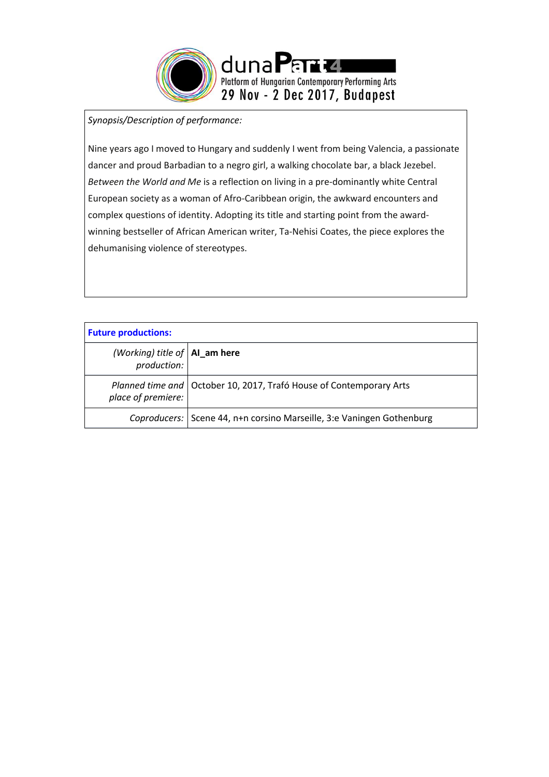

## *Synopsis/Description of performance:*

Nine years ago I moved to Hungary and suddenly I went from being Valencia, a passionate dancer and proud Barbadian to a negro girl, a walking chocolate bar, a black Jezebel. *Between the World and Me* is a reflection on living in a pre-dominantly white Central European society as a woman of Afro-Caribbean origin, the awkward encounters and complex questions of identity. Adopting its title and starting point from the awardwinning bestseller of African American writer, Ta-Nehisi Coates, the piece explores the dehumanising violence of stereotypes.

| <b>Future productions:</b>                       |                                                                         |
|--------------------------------------------------|-------------------------------------------------------------------------|
| (Working) title of $ $ Al_am here<br>production: |                                                                         |
| place of premiere:                               | Planned time and   October 10, 2017, Trafó House of Contemporary Arts   |
|                                                  | Coproducers:   Scene 44, n+n corsino Marseille, 3:e Vaningen Gothenburg |